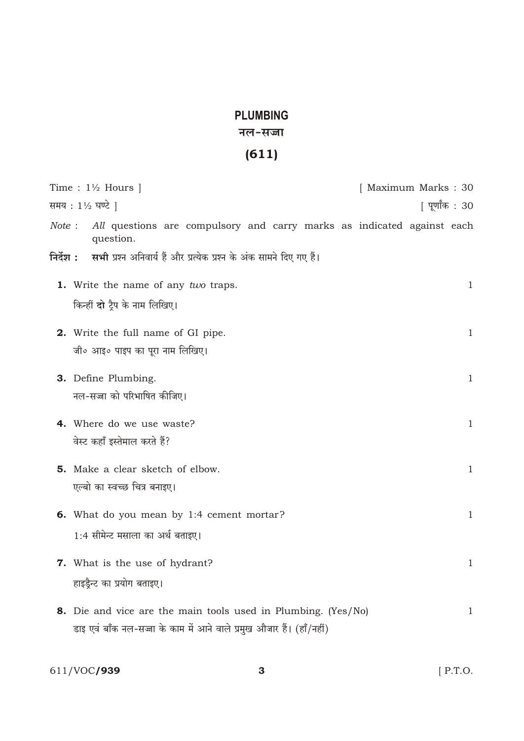## **PLUMBING**

## नल-सज्जा

## $(611)$

|           | Time : $1\frac{1}{2}$ Hours                                                         | [ Maximum Marks: 30 |
|-----------|-------------------------------------------------------------------------------------|---------------------|
|           | समय: 1½ घण्टे                                                                       | पूर्णांक : 30       |
| Note:     | All questions are compulsory and carry marks as indicated against each<br>question. |                     |
| निर्देश : | सभी प्रश्न अनिवार्य हैं और प्रत्येक प्रश्न के अंक सामने दिए गए हैं।                 |                     |
|           | 1. Write the name of any two traps.                                                 | 1                   |
|           | किन्हीं दो ट्रैप के नाम लिखिए।                                                      |                     |
|           | 2. Write the full name of GI pipe.<br>जी० आइ० पाइप का पूरा नाम लिखिए।               | $\mathbf{1}$        |
|           | 3. Define Plumbing.                                                                 | $\mathbf{1}$        |
|           | नल-सज्जा को परिभाषित कीजिए।                                                         |                     |
|           | 4. Where do we use waste?                                                           | $\mathbf{1}$        |
|           | वेस्ट कहाँ इस्तेमाल करते हैं?                                                       |                     |
|           | 5. Make a clear sketch of elbow.                                                    | $\mathbf{1}$        |
|           | एल्बो का स्वच्छ चित्र बनाइए।                                                        |                     |
|           | <b>6.</b> What do you mean by 1:4 cement mortar?                                    | $\mathbf{1}$        |
|           | 1:4 सीमेन्ट मसाला का अर्थ बताइए।                                                    |                     |
|           | 7. What is the use of hydrant?                                                      | $\mathbf{1}$        |
|           | हाइड़ैन्ट का प्रयोग बताइए।                                                          |                     |
|           | 8. Die and vice are the main tools used in Plumbing. (Yes/No)                       | $\mathbf{1}$        |
|           | डाइ एवं बाँक नल-सज्जा के काम में आने वाले प्रमुख औजार हैं। (हाँ/नहीं)               |                     |

611/VOC**/939**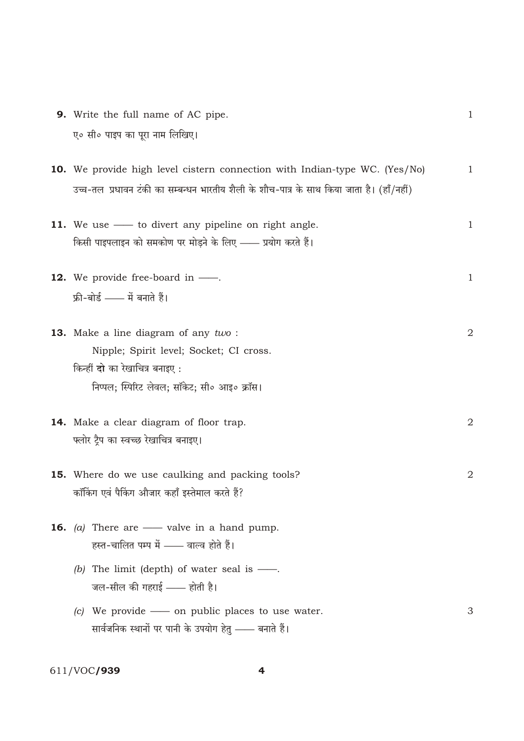9. Write the full name of AC pipe.  $\mathbf{1}$ ए० सी० पाइप का पूरा नाम लिखिए। 10. We provide high level cistern connection with Indian-type WC. (Yes/No)  $\mathbf{1}$ उच्च-तल प्रधावन टंकी का सम्बन्धन भारतीय शैली के शौच-पात्र के साथ किया जाता है। (हाँ/नहीं) 11. We use — to divert any pipeline on right angle.  $\mathbf{1}$ किसी पाइपलाइन को समकोण पर मोड़ने के लिए —— प्रयोग करते हैं। **12.** We provide free-board in  $\frac{1}{\sqrt{2}}$ .  $\mathbf{1}$ फ्री-बोर्ड - में बनाते हैं। 13. Make a line diagram of any two:  $\overline{2}$ Nipple; Spirit level; Socket; CI cross. किन्हीं दो का रेखाचित्र बनाइए: निप्पल; स्पिरिट लेवल; सॉकेट; सी॰ आइ॰ क्रॉस। 14. Make a clear diagram of floor trap.  $\overline{2}$ फ्लोर ट्रैप का स्वच्छ रेखाचित्र बनाइए। 15. Where do we use caulking and packing tools? 2 कॉकिंग एवं पैकिंग औजार कहाँ इस्तेमाल करते हैं? **16.** (a) There are  $\_\_\$  valve in a hand pump. हस्त-चालित पम्प में —— वाल्व होते हैं। (b) The limit (depth) of water seal is  $\frac{1}{1}$ . जल-सील की गहराई - होती है। (c) We provide  $\_\_$  on public places to use water. 3 सार्वजनिक स्थानों पर पानी के उपयोग हेतु —— बनाते हैं।

611/VOC/939

 $\overline{\mathbf{4}}$